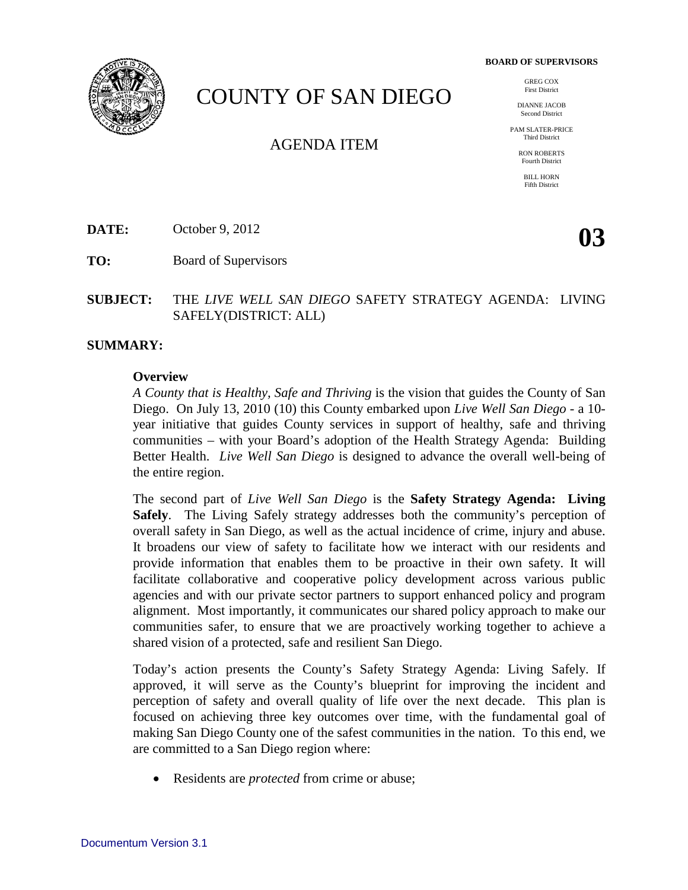**BOARD OF SUPERVISORS**



# COUNTY OF SAN DIEGO

### AGENDA ITEM

GREG COX First District

DIANNE JACOB Second District

PAM SLATER-PRICE Third District

> RON ROBERTS Fourth District

BILL HORN Fifth District

**DATE:** October 9, 2012 **03** 

**TO:** Board of Supervisors

#### **SUBJECT:** THE *LIVE WELL SAN DIEGO* SAFETY STRATEGY AGENDA: LIVING SAFELY(DISTRICT: ALL)

#### **SUMMARY:**

#### **Overview**

*A County that is Healthy, Safe and Thriving* is the vision that guides the County of San Diego. On July 13, 2010 (10) this County embarked upon *Live Well San Diego -* a 10 year initiative that guides County services in support of healthy, safe and thriving communities – with your Board's adoption of the Health Strategy Agenda: Building Better Health. *Live Well San Diego* is designed to advance the overall well-being of the entire region.

The second part of *Live Well San Diego* is the **Safety Strategy Agenda: Living Safely**. The Living Safely strategy addresses both the community's perception of overall safety in San Diego, as well as the actual incidence of crime, injury and abuse. It broadens our view of safety to facilitate how we interact with our residents and provide information that enables them to be proactive in their own safety. It will facilitate collaborative and cooperative policy development across various public agencies and with our private sector partners to support enhanced policy and program alignment. Most importantly, it communicates our shared policy approach to make our communities safer, to ensure that we are proactively working together to achieve a shared vision of a protected, safe and resilient San Diego.

Today's action presents the County's Safety Strategy Agenda: Living Safely. If approved, it will serve as the County's blueprint for improving the incident and perception of safety and overall quality of life over the next decade. This plan is focused on achieving three key outcomes over time, with the fundamental goal of making San Diego County one of the safest communities in the nation. To this end, we are committed to a San Diego region where:

• Residents are *protected* from crime or abuse;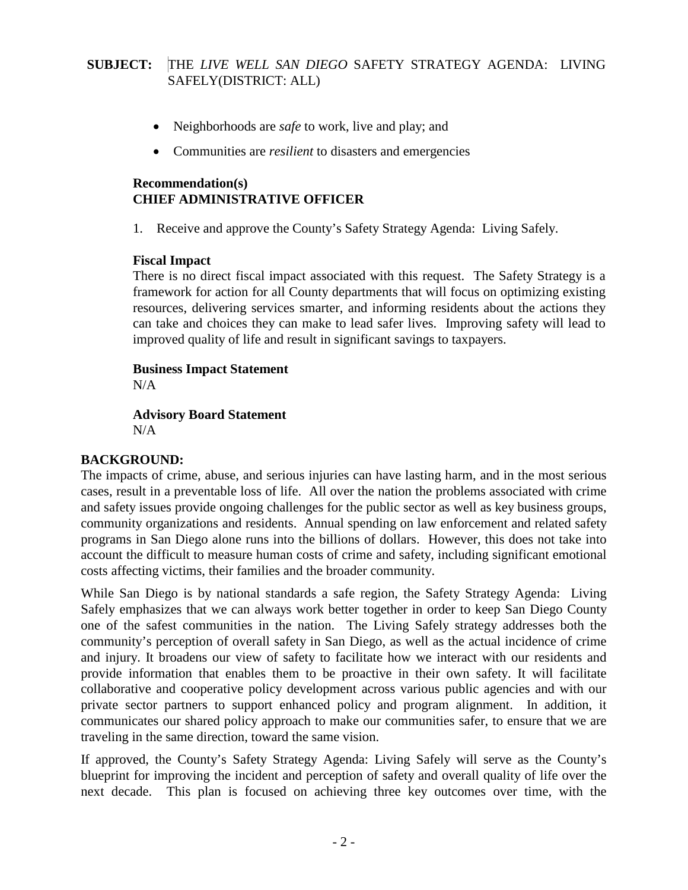- Neighborhoods are *safe* to work, live and play; and
- Communities are *resilient* to disasters and emergencies

#### **Recommendation(s) CHIEF ADMINISTRATIVE OFFICER**

1. Receive and approve the County's Safety Strategy Agenda: Living Safely.

#### **Fiscal Impact**

There is no direct fiscal impact associated with this request. The Safety Strategy is a framework for action for all County departments that will focus on optimizing existing resources, delivering services smarter, and informing residents about the actions they can take and choices they can make to lead safer lives. Improving safety will lead to improved quality of life and result in significant savings to taxpayers.

## **Business Impact Statement**

N/A

**Advisory Board Statement** N/A

#### **BACKGROUND:**

The impacts of crime, abuse, and serious injuries can have lasting harm, and in the most serious cases, result in a preventable loss of life. All over the nation the problems associated with crime and safety issues provide ongoing challenges for the public sector as well as key business groups, community organizations and residents. Annual spending on law enforcement and related safety programs in San Diego alone runs into the billions of dollars. However, this does not take into account the difficult to measure human costs of crime and safety, including significant emotional costs affecting victims, their families and the broader community.

While San Diego is by national standards a safe region, the Safety Strategy Agenda: Living Safely emphasizes that we can always work better together in order to keep San Diego County one of the safest communities in the nation. The Living Safely strategy addresses both the community's perception of overall safety in San Diego, as well as the actual incidence of crime and injury. It broadens our view of safety to facilitate how we interact with our residents and provide information that enables them to be proactive in their own safety. It will facilitate collaborative and cooperative policy development across various public agencies and with our private sector partners to support enhanced policy and program alignment. In addition, it communicates our shared policy approach to make our communities safer, to ensure that we are traveling in the same direction, toward the same vision.

If approved, the County's Safety Strategy Agenda: Living Safely will serve as the County's blueprint for improving the incident and perception of safety and overall quality of life over the next decade. This plan is focused on achieving three key outcomes over time, with the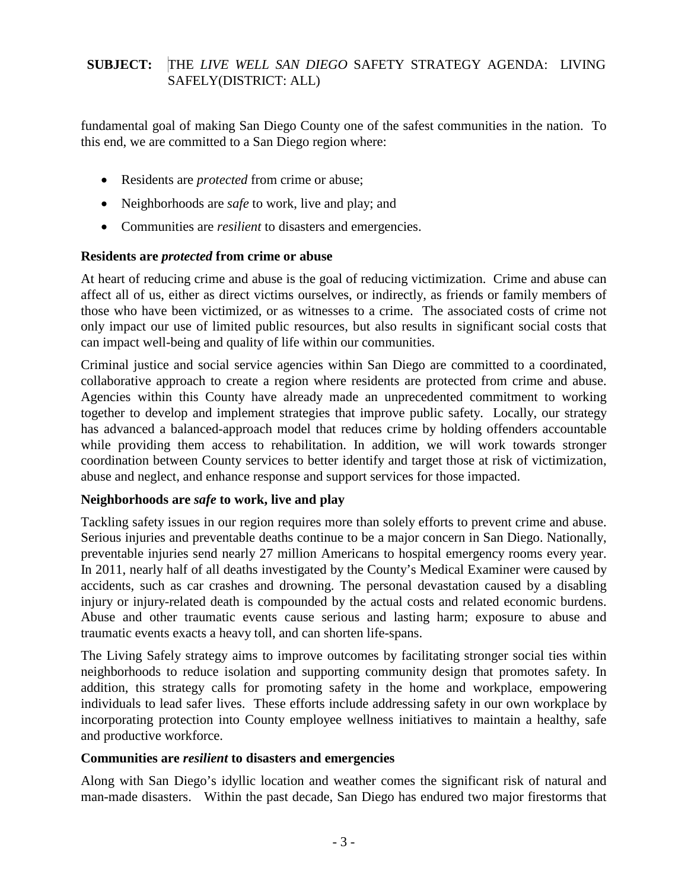fundamental goal of making San Diego County one of the safest communities in the nation. To this end, we are committed to a San Diego region where:

- Residents are *protected* from crime or abuse;
- Neighborhoods are *safe* to work, live and play; and
- Communities are *resilient* to disasters and emergencies.

#### **Residents are** *protected* **from crime or abuse**

At heart of reducing crime and abuse is the goal of reducing victimization. Crime and abuse can affect all of us, either as direct victims ourselves, or indirectly, as friends or family members of those who have been victimized, or as witnesses to a crime. The associated costs of crime not only impact our use of limited public resources, but also results in significant social costs that can impact well-being and quality of life within our communities.

Criminal justice and social service agencies within San Diego are committed to a coordinated, collaborative approach to create a region where residents are protected from crime and abuse. Agencies within this County have already made an unprecedented commitment to working together to develop and implement strategies that improve public safety. Locally, our strategy has advanced a balanced-approach model that reduces crime by holding offenders accountable while providing them access to rehabilitation. In addition, we will work towards stronger coordination between County services to better identify and target those at risk of victimization, abuse and neglect, and enhance response and support services for those impacted.

#### **Neighborhoods are** *safe* **to work, live and play**

Tackling safety issues in our region requires more than solely efforts to prevent crime and abuse. Serious injuries and preventable deaths continue to be a major concern in San Diego. Nationally, preventable injuries send nearly 27 million Americans to hospital emergency rooms every year. In 2011, nearly half of all deaths investigated by the County's Medical Examiner were caused by accidents, such as car crashes and drowning. The personal devastation caused by a disabling injury or injury-related death is compounded by the actual costs and related economic burdens. Abuse and other traumatic events cause serious and lasting harm; exposure to abuse and traumatic events exacts a heavy toll, and can shorten life-spans.

The Living Safely strategy aims to improve outcomes by facilitating stronger social ties within neighborhoods to reduce isolation and supporting community design that promotes safety. In addition, this strategy calls for promoting safety in the home and workplace, empowering individuals to lead safer lives. These efforts include addressing safety in our own workplace by incorporating protection into County employee wellness initiatives to maintain a healthy, safe and productive workforce.

#### **Communities are** *resilient* **to disasters and emergencies**

Along with San Diego's idyllic location and weather comes the significant risk of natural and man-made disasters. Within the past decade, San Diego has endured two major firestorms that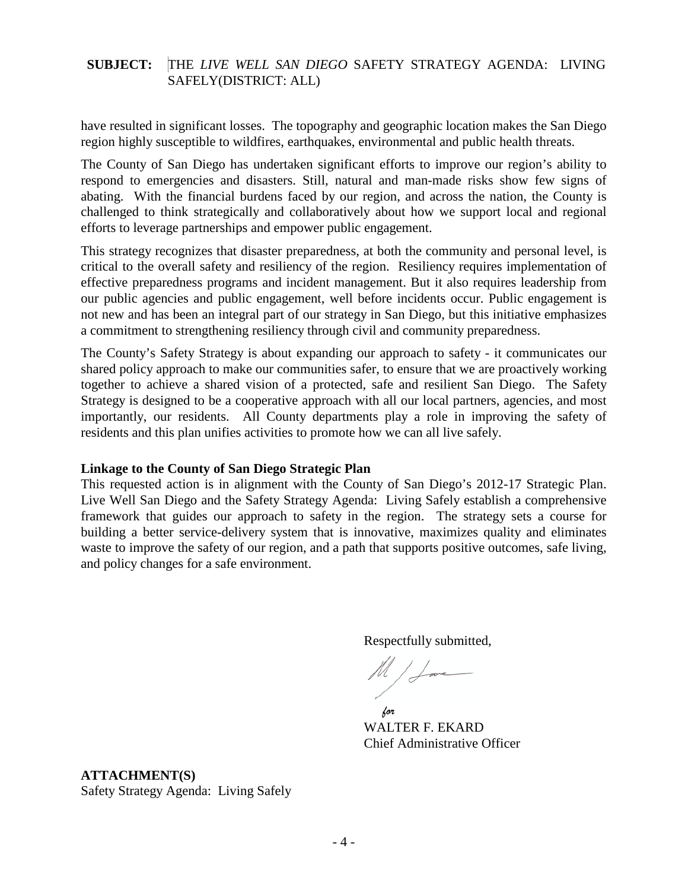have resulted in significant losses. The topography and geographic location makes the San Diego region highly susceptible to wildfires, earthquakes, environmental and public health threats.

The County of San Diego has undertaken significant efforts to improve our region's ability to respond to emergencies and disasters. Still, natural and man-made risks show few signs of abating. With the financial burdens faced by our region, and across the nation, the County is challenged to think strategically and collaboratively about how we support local and regional efforts to leverage partnerships and empower public engagement.

This strategy recognizes that disaster preparedness, at both the community and personal level, is critical to the overall safety and resiliency of the region. Resiliency requires implementation of effective preparedness programs and incident management. But it also requires leadership from our public agencies and public engagement, well before incidents occur. Public engagement is not new and has been an integral part of our strategy in San Diego, but this initiative emphasizes a commitment to strengthening resiliency through civil and community preparedness.

The County's Safety Strategy is about expanding our approach to safety - it communicates our shared policy approach to make our communities safer, to ensure that we are proactively working together to achieve a shared vision of a protected, safe and resilient San Diego. The Safety Strategy is designed to be a cooperative approach with all our local partners, agencies, and most importantly, our residents. All County departments play a role in improving the safety of residents and this plan unifies activities to promote how we can all live safely.

#### **Linkage to the County of San Diego Strategic Plan**

This requested action is in alignment with the County of San Diego's 2012-17 Strategic Plan. Live Well San Diego and the Safety Strategy Agenda: Living Safely establish a comprehensive framework that guides our approach to safety in the region. The strategy sets a course for building a better service-delivery system that is innovative, maximizes quality and eliminates waste to improve the safety of our region, and a path that supports positive outcomes, safe living, and policy changes for a safe environment.

Respectfully submitted,

 *for* WALTER F. EKARD Chief Administrative Officer

**ATTACHMENT(S)** Safety Strategy Agenda: Living Safely